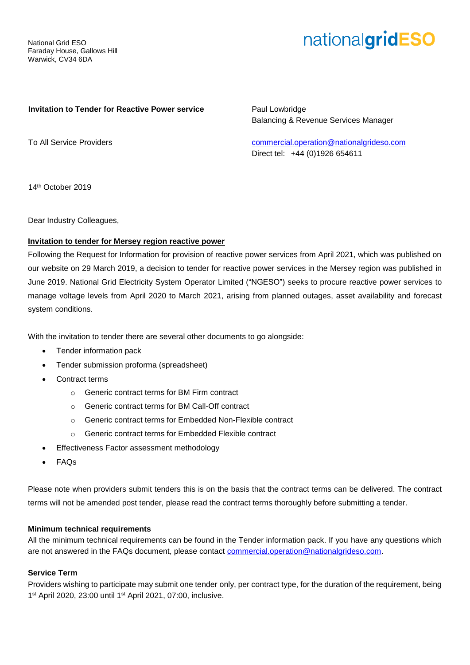National Grid ESO Faraday House, Gallows Hill Warwick, CV34 6DA

# nationalgridESO

#### **Invitation to Tender for Reactive Power service**

To All Service Providers

Paul Lowbridge Balancing & Revenue Services Manager

[commercial.operation@nationalgrideso.com](mailto:commercial.operation@nationalgrideso.com) Direct tel: +44 (0)1926 654611

14 th October 2019

Dear Industry Colleagues,

# **Invitation to tender for Mersey region reactive power**

Following the Request for Information for provision of reactive power services from April 2021, which was published on our website on 29 March 2019, a decision to tender for reactive power services in the Mersey region was published in June 2019. National Grid Electricity System Operator Limited ("NGESO") seeks to procure reactive power services to manage voltage levels from April 2020 to March 2021, arising from planned outages, asset availability and forecast system conditions.

With the invitation to tender there are several other documents to go alongside:

- Tender information pack
- Tender submission proforma (spreadsheet)
- Contract terms
	- o Generic contract terms for BM Firm contract
	- o Generic contract terms for BM Call-Off contract
	- o Generic contract terms for Embedded Non-Flexible contract
	- o Generic contract terms for Embedded Flexible contract
- Effectiveness Factor assessment methodology
- FAQs

Please note when providers submit tenders this is on the basis that the contract terms can be delivered. The contract terms will not be amended post tender, please read the contract terms thoroughly before submitting a tender.

# **Minimum technical requirements**

All the minimum technical requirements can be found in the Tender information pack. If you have any questions which are not answered in the FAQs document, please contact [commercial.operation@nationalgrideso.com.](mailto:commercial.operation@nationalgrideso.com)

# **Service Term**

Providers wishing to participate may submit one tender only, per contract type, for the duration of the requirement, being 1<sup>st</sup> April 2020, 23:00 until 1<sup>st</sup> April 2021, 07:00, inclusive.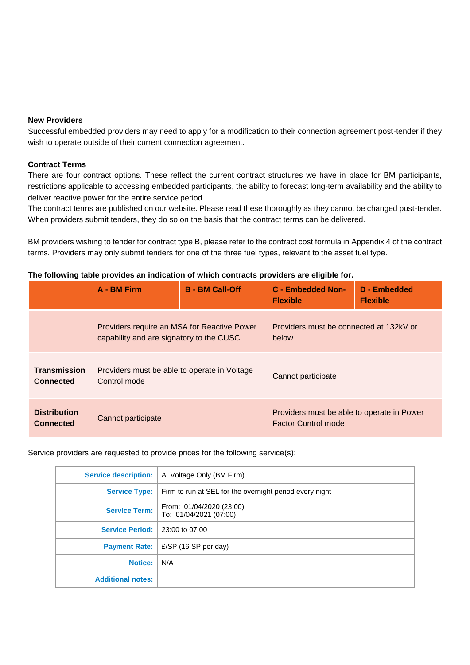#### **New Providers**

Successful embedded providers may need to apply for a modification to their connection agreement post-tender if they wish to operate outside of their current connection agreement.

#### **Contract Terms**

There are four contract options. These reflect the current contract structures we have in place for BM participants, restrictions applicable to accessing embedded participants, the ability to forecast long-term availability and the ability to deliver reactive power for the entire service period.

The contract terms are published on our website. Please read these thoroughly as they cannot be changed post-tender. When providers submit tenders, they do so on the basis that the contract terms can be delivered.

BM providers wishing to tender for contract type B, please refer to the contract cost formula in Appendix 4 of the contract terms. Providers may only submit tenders for one of the three fuel types, relevant to the asset fuel type.

#### **The following table provides an indication of which contracts providers are eligible for.**

|                                         | A - BM Firm                                                                             | <b>B</b> - BM Call-Off | C - Embedded Non-<br><b>Flexible</b>                                     | D - Embedded<br><b>Flexible</b> |
|-----------------------------------------|-----------------------------------------------------------------------------------------|------------------------|--------------------------------------------------------------------------|---------------------------------|
|                                         | Providers require an MSA for Reactive Power<br>capability and are signatory to the CUSC |                        | Providers must be connected at 132kV or<br>below                         |                                 |
| <b>Transmission</b><br>Connected        | Providers must be able to operate in Voltage<br>Control mode                            |                        | Cannot participate                                                       |                                 |
| <b>Distribution</b><br><b>Connected</b> | Cannot participate                                                                      |                        | Providers must be able to operate in Power<br><b>Factor Control mode</b> |                                 |

Service providers are requested to provide prices for the following service(s):

| <b>Service description:</b> | A. Voltage Only (BM Firm)                               |
|-----------------------------|---------------------------------------------------------|
| <b>Service Type:</b>        | Firm to run at SEL for the overnight period every night |
| <b>Service Term:</b>        | From: 01/04/2020 (23:00)<br>To: 01/04/2021 (07:00)      |
| <b>Service Period:</b>      | 23:00 to 07:00                                          |
| <b>Payment Rate:</b>        | $E/SP$ (16 SP per day)                                  |
| <b>Notice:</b>              | N/A                                                     |
| <b>Additional notes:</b>    |                                                         |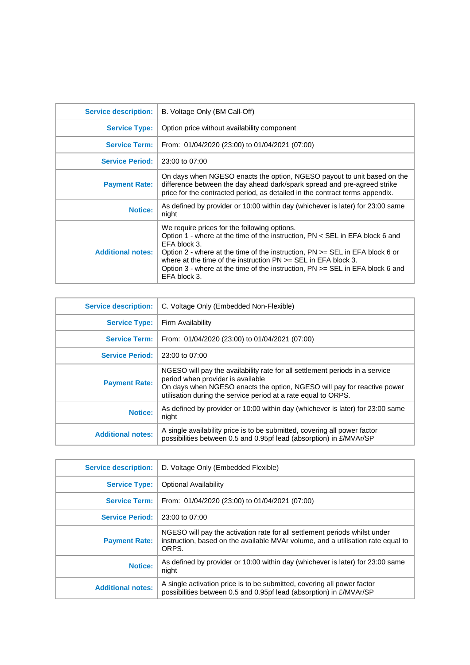| <b>Service description:</b> | B. Voltage Only (BM Call-Off)                                                                                                                                                                                                                                                                                                                                                                                 |  |
|-----------------------------|---------------------------------------------------------------------------------------------------------------------------------------------------------------------------------------------------------------------------------------------------------------------------------------------------------------------------------------------------------------------------------------------------------------|--|
| <b>Service Type:</b>        | Option price without availability component                                                                                                                                                                                                                                                                                                                                                                   |  |
| <b>Service Term:</b>        | From: 01/04/2020 (23:00) to 01/04/2021 (07:00)                                                                                                                                                                                                                                                                                                                                                                |  |
| <b>Service Period:</b>      | 23:00 to 07:00                                                                                                                                                                                                                                                                                                                                                                                                |  |
| <b>Payment Rate:</b>        | On days when NGESO enacts the option, NGESO payout to unit based on the<br>difference between the day ahead dark/spark spread and pre-agreed strike<br>price for the contracted period, as detailed in the contract terms appendix.                                                                                                                                                                           |  |
| <b>Notice:</b>              | As defined by provider or 10:00 within day (whichever is later) for 23:00 same<br>night                                                                                                                                                                                                                                                                                                                       |  |
| <b>Additional notes:</b>    | We require prices for the following options.<br>Option 1 - where at the time of the instruction, $PN < SEL$ in EFA block 6 and<br>FFA block 3.<br>Option 2 - where at the time of the instruction, $PN \geq$ SEL in EFA block 6 or<br>where at the time of the instruction $PN \geq$ SEL in EFA block 3.<br>Option 3 - where at the time of the instruction, $PN \geq$ SEL in EFA block 6 and<br>EFA block 3. |  |

| <b>Service description:</b> | C. Voltage Only (Embedded Non-Flexible)                                                                                                                                                                                                                        |  |
|-----------------------------|----------------------------------------------------------------------------------------------------------------------------------------------------------------------------------------------------------------------------------------------------------------|--|
| <b>Service Type:</b>        | Firm Availability                                                                                                                                                                                                                                              |  |
| <b>Service Term:</b>        | From: 01/04/2020 (23:00) to 01/04/2021 (07:00)                                                                                                                                                                                                                 |  |
| <b>Service Period:</b>      | 23:00 to 07:00                                                                                                                                                                                                                                                 |  |
| <b>Payment Rate:</b>        | NGESO will pay the availability rate for all settlement periods in a service<br>period when provider is available<br>On days when NGESO enacts the option, NGESO will pay for reactive power<br>utilisation during the service period at a rate equal to ORPS. |  |
| <b>Notice:</b>              | As defined by provider or 10:00 within day (whichever is later) for 23:00 same<br>night                                                                                                                                                                        |  |
| <b>Additional notes:</b>    | A single availability price is to be submitted, covering all power factor<br>possibilities between 0.5 and 0.95pf lead (absorption) in £/MVAr/SP                                                                                                               |  |

| <b>Service description:</b> | D. Voltage Only (Embedded Flexible)                                                                                                                                     |  |
|-----------------------------|-------------------------------------------------------------------------------------------------------------------------------------------------------------------------|--|
| <b>Service Type:</b>        | <b>Optional Availability</b>                                                                                                                                            |  |
| <b>Service Term:  </b>      | From: 01/04/2020 (23:00) to 01/04/2021 (07:00)                                                                                                                          |  |
| <b>Service Period:</b>      | 23:00 to 07:00                                                                                                                                                          |  |
| <b>Payment Rate:</b>        | NGESO will pay the activation rate for all settlement periods whilst under<br>instruction, based on the available MVAr volume, and a utilisation rate equal to<br>ORPS. |  |
| <b>Notice:</b>              | As defined by provider or 10:00 within day (whichever is later) for 23:00 same<br>night                                                                                 |  |
| <b>Additional notes:</b>    | A single activation price is to be submitted, covering all power factor<br>possibilities between 0.5 and 0.95pf lead (absorption) in £/MVAr/SP                          |  |